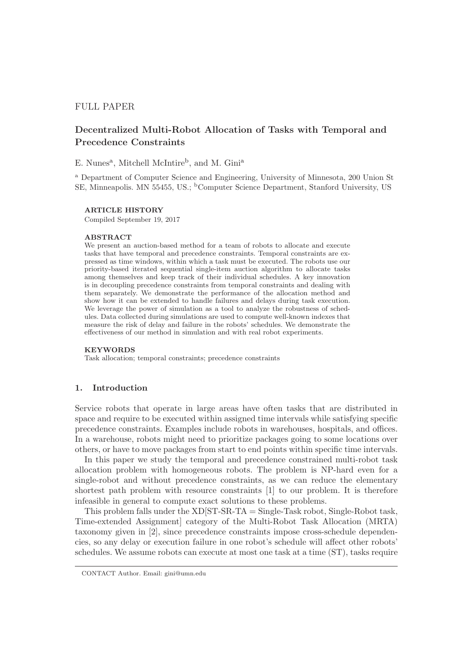# FULL PAPER

# **Decentralized Multi-Robot Allocation of Tasks with Temporal and Precedence Constraints**

E. Nunes<sup>a</sup>, Mitchell McIntire<sup>b</sup>, and M. Gini<sup>a</sup>

<sup>a</sup> Department of Computer Science and Engineering, University of Minnesota, 200 Union St SE, Minneapolis. MN 55455, US.; <sup>b</sup>Computer Science Department, Stanford University, US

#### **ARTICLE HISTORY**

Compiled September 19, 2017

#### **ABSTRACT**

We present an auction-based method for a team of robots to allocate and execute tasks that have temporal and precedence constraints. Temporal constraints are expressed as time windows, within which a task must be executed. The robots use our priority-based iterated sequential single-item auction algorithm to allocate tasks among themselves and keep track of their individual schedules. A key innovation is in decoupling precedence constraints from temporal constraints and dealing with them separately. We demonstrate the performance of the allocation method and show how it can be extended to handle failures and delays during task execution. We leverage the power of simulation as a tool to analyze the robustness of schedules. Data collected during simulations are used to compute well-known indexes that measure the risk of delay and failure in the robots' schedules. We demonstrate the effectiveness of our method in simulation and with real robot experiments.

#### **KEYWORDS**

Task allocation; temporal constraints; precedence constraints

### **1. Introduction**

Service robots that operate in large areas have often tasks that are distributed in space and require to be executed within assigned time intervals while satisfying specific precedence constraints. Examples include robots in warehouses, hospitals, and offices. In a warehouse, robots might need to prioritize packages going to some locations over others, or have to move packages from start to end points within specific time intervals.

In this paper we study the temporal and precedence constrained multi-robot task allocation problem with homogeneous robots. The problem is NP-hard even for a single-robot and without precedence constraints, as we can reduce the elementary shortest path problem with resource constraints [1] to our problem. It is therefore infeasible in general to compute exact solutions to these problems.

This problem falls under the  $XD\left[ST\text{-}SR\text{-}TA = \text{Single-Task robot}, \text{Single-Robot task},\right]$ Time-extended Assignment] category of the Multi-Robot Task Allocation (MRTA) taxonomy given in [2], since precedence constraints impose cross-schedule dependencies, so any delay or execution failure in one robot's schedule will affect other robots' schedules. We assume robots can execute at most one task at a time (ST), tasks require

CONTACT Author. Email: gini@umn.edu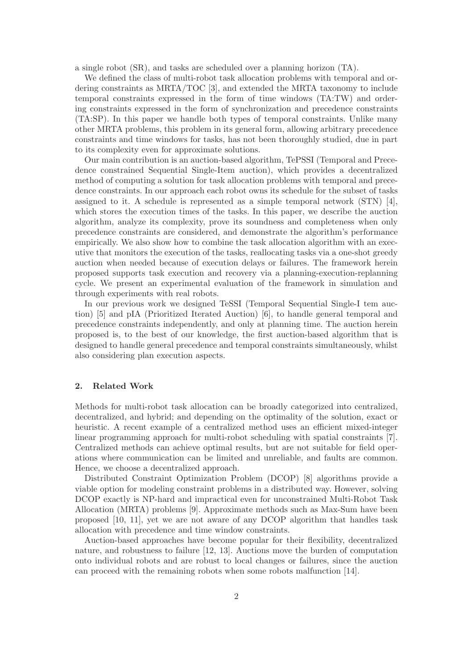a single robot (SR), and tasks are scheduled over a planning horizon (TA).

We defined the class of multi-robot task allocation problems with temporal and ordering constraints as MRTA/TOC [3], and extended the MRTA taxonomy to include temporal constraints expressed in the form of time windows (TA:TW) and ordering constraints expressed in the form of synchronization and precedence constraints (TA:SP). In this paper we handle both types of temporal constraints. Unlike many other MRTA problems, this problem in its general form, allowing arbitrary precedence constraints and time windows for tasks, has not been thoroughly studied, due in part to its complexity even for approximate solutions.

Our main contribution is an auction-based algorithm, TePSSI (Temporal and Precedence constrained Sequential Single-Item auction), which provides a decentralized method of computing a solution for task allocation problems with temporal and precedence constraints. In our approach each robot owns its schedule for the subset of tasks assigned to it. A schedule is represented as a simple temporal network  $(STN)$  [4], which stores the execution times of the tasks. In this paper, we describe the auction algorithm, analyze its complexity, prove its soundness and completeness when only precedence constraints are considered, and demonstrate the algorithm's performance empirically. We also show how to combine the task allocation algorithm with an executive that monitors the execution of the tasks, reallocating tasks via a one-shot greedy auction when needed because of execution delays or failures. The framework herein proposed supports task execution and recovery via a planning-execution-replanning cycle. We present an experimental evaluation of the framework in simulation and through experiments with real robots.

In our previous work we designed TeSSI (Temporal Sequential Single-I tem auction) [5] and pIA (Prioritized Iterated Auction) [6], to handle general temporal and precedence constraints independently, and only at planning time. The auction herein proposed is, to the best of our knowledge, the first auction-based algorithm that is designed to handle general precedence and temporal constraints simultaneously, whilst also considering plan execution aspects.

### **2. Related Work**

Methods for multi-robot task allocation can be broadly categorized into centralized, decentralized, and hybrid; and depending on the optimality of the solution, exact or heuristic. A recent example of a centralized method uses an efficient mixed-integer linear programming approach for multi-robot scheduling with spatial constraints [7]. Centralized methods can achieve optimal results, but are not suitable for field operations where communication can be limited and unreliable, and faults are common. Hence, we choose a decentralized approach.

Distributed Constraint Optimization Problem (DCOP) [8] algorithms provide a viable option for modeling constraint problems in a distributed way. However, solving DCOP exactly is NP-hard and impractical even for unconstrained Multi-Robot Task Allocation (MRTA) problems [9]. Approximate methods such as Max-Sum have been proposed [10, 11], yet we are not aware of any DCOP algorithm that handles task allocation with precedence and time window constraints.

Auction-based approaches have become popular for their flexibility, decentralized nature, and robustness to failure [12, 13]. Auctions move the burden of computation onto individual robots and are robust to local changes or failures, since the auction can proceed with the remaining robots when some robots malfunction [14].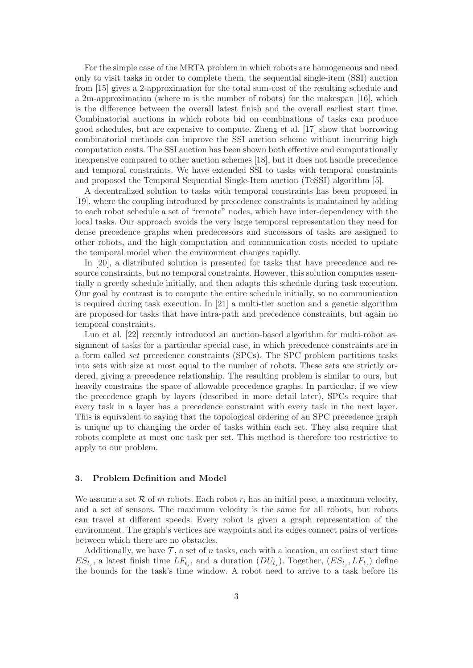For the simple case of the MRTA problem in which robots are homogeneous and need only to visit tasks in order to complete them, the sequential single-item (SSI) auction from [15] gives a 2-approximation for the total sum-cost of the resulting schedule and a 2m-approximation (where m is the number of robots) for the makespan [16], which is the difference between the overall latest finish and the overall earliest start time. Combinatorial auctions in which robots bid on combinations of tasks can produce good schedules, but are expensive to compute. Zheng et al. [17] show that borrowing combinatorial methods can improve the SSI auction scheme without incurring high computation costs. The SSI auction has been shown both effective and computationally inexpensive compared to other auction schemes [18], but it does not handle precedence and temporal constraints. We have extended SSI to tasks with temporal constraints and proposed the Temporal Sequential Single-Item auction (TeSSI) algorithm [5].

A decentralized solution to tasks with temporal constraints has been proposed in [19], where the coupling introduced by precedence constraints is maintained by adding to each robot schedule a set of "remote" nodes, which have inter-dependency with the local tasks. Our approach avoids the very large temporal representation they need for dense precedence graphs when predecessors and successors of tasks are assigned to other robots, and the high computation and communication costs needed to update the temporal model when the environment changes rapidly.

In [20], a distributed solution is presented for tasks that have precedence and resource constraints, but no temporal constraints. However, this solution computes essentially a greedy schedule initially, and then adapts this schedule during task execution. Our goal by contrast is to compute the entire schedule initially, so no communication is required during task execution. In [21] a multi-tier auction and a genetic algorithm are proposed for tasks that have intra-path and precedence constraints, but again no temporal constraints.

Luo et al. [22] recently introduced an auction-based algorithm for multi-robot assignment of tasks for a particular special case, in which precedence constraints are in a form called set precedence constraints (SPCs). The SPC problem partitions tasks into sets with size at most equal to the number of robots. These sets are strictly ordered, giving a precedence relationship. The resulting problem is similar to ours, but heavily constrains the space of allowable precedence graphs. In particular, if we view the precedence graph by layers (described in more detail later), SPCs require that every task in a layer has a precedence constraint with every task in the next layer. This is equivalent to saying that the topological ordering of an SPC precedence graph is unique up to changing the order of tasks within each set. They also require that robots complete at most one task per set. This method is therefore too restrictive to apply to our problem.

#### **3. Problem Definition and Model**

We assume a set  $\mathcal R$  of m robots. Each robot  $r_i$  has an initial pose, a maximum velocity, and a set of sensors. The maximum velocity is the same for all robots, but robots can travel at different speeds. Every robot is given a graph representation of the environment. The graph's vertices are waypoints and its edges connect pairs of vertices between which there are no obstacles.

Additionally, we have  $\mathcal{T}$ , a set of n tasks, each with a location, an earliest start time  $ES_{t_i}$ , a latest finish time  $LF_{t_i}$ , and a duration  $(DU_{t_i})$ . Together,  $(ES_{t_i}, LF_{t_i})$  define the bounds for the task's time window. A robot need to arrive to a task before its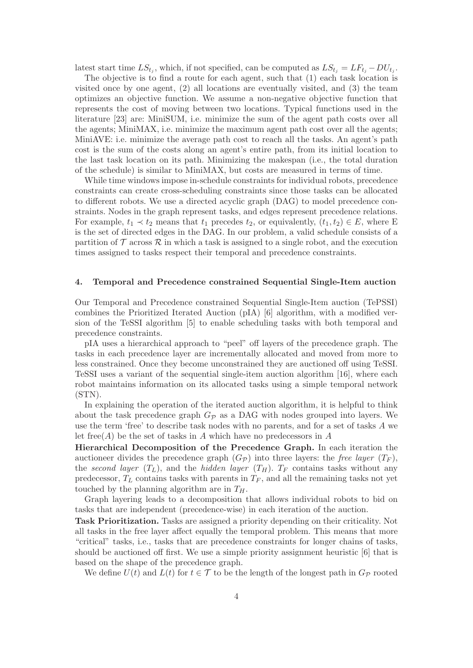latest start time  $LS_{t_i}$ , which, if not specified, can be computed as  $LS_{t_i} = LF_{t_i} - DU_{t_i}$ .

The objective is to find a route for each agent, such that (1) each task location is visited once by one agent, (2) all locations are eventually visited, and (3) the team optimizes an objective function. We assume a non-negative objective function that represents the cost of moving between two locations. Typical functions used in the literature [23] are: MiniSUM, i.e. minimize the sum of the agent path costs over all the agents; MiniMAX, i.e. minimize the maximum agent path cost over all the agents; MiniAVE: i.e. minimize the average path cost to reach all the tasks. An agent's path cost is the sum of the costs along an agent's entire path, from its initial location to the last task location on its path. Minimizing the makespan (i.e., the total duration of the schedule) is similar to MiniMAX, but costs are measured in terms of time.

While time windows impose in-schedule constraints for individual robots, precedence constraints can create cross-scheduling constraints since those tasks can be allocated to different robots. We use a directed acyclic graph (DAG) to model precedence constraints. Nodes in the graph represent tasks, and edges represent precedence relations. For example,  $t_1 \prec t_2$  means that  $t_1$  precedes  $t_2$ , or equivalently,  $(t_1, t_2) \in E$ , where E is the set of directed edges in the DAG. In our problem, a valid schedule consists of a partition of  $\mathcal T$  across  $\mathcal R$  in which a task is assigned to a single robot, and the execution times assigned to tasks respect their temporal and precedence constraints.

# **4. Temporal and Precedence constrained Sequential Single-Item auction**

Our Temporal and Precedence constrained Sequential Single-Item auction (TePSSI) combines the Prioritized Iterated Auction (pIA) [6] algorithm, with a modified version of the TeSSI algorithm [5] to enable scheduling tasks with both temporal and precedence constraints.

pIA uses a hierarchical approach to "peel" off layers of the precedence graph. The tasks in each precedence layer are incrementally allocated and moved from more to less constrained. Once they become unconstrained they are auctioned off using TeSSI. TeSSI uses a variant of the sequential single-item auction algorithm [16], where each robot maintains information on its allocated tasks using a simple temporal network (STN).

In explaining the operation of the iterated auction algorithm, it is helpful to think about the task precedence graph  $G_p$  as a DAG with nodes grouped into layers. We use the term 'free' to describe task nodes with no parents, and for a set of tasks A we let free $(A)$  be the set of tasks in A which have no predecessors in A

**Hierarchical Decomposition of the Precedence Graph.** In each iteration the auctioneer divides the precedence graph  $(G_{\mathcal{P}})$  into three layers: the free layer  $(T_F)$ , the second layer  $(T_L)$ , and the hidden layer  $(T_H)$ .  $T_F$  contains tasks without any predecessor,  $T_L$  contains tasks with parents in  $T_F$ , and all the remaining tasks not yet touched by the planning algorithm are in  $T_H$ .

Graph layering leads to a decomposition that allows individual robots to bid on tasks that are independent (precedence-wise) in each iteration of the auction.

**Task Prioritization.** Tasks are assigned a priority depending on their criticality. Not all tasks in the free layer affect equally the temporal problem. This means that more "critical" tasks, i.e., tasks that are precedence constraints for longer chains of tasks, should be auctioned off first. We use a simple priority assignment heuristic [6] that is based on the shape of the precedence graph.

We define  $U(t)$  and  $L(t)$  for  $t \in \mathcal{T}$  to be the length of the longest path in  $G_{\mathcal{P}}$  rooted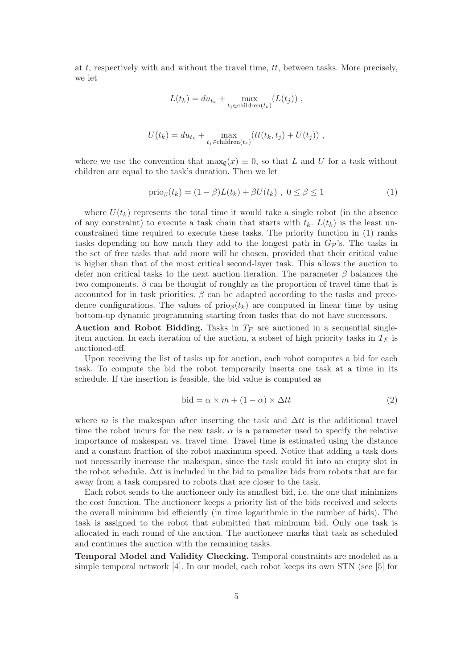at  $t$ , respectively with and without the travel time,  $tt$ , between tasks. More precisely, we let

$$
L(t_k) = du_{t_k} + \max_{t_j \in \text{children}(t_k)} (L(t_j)),
$$

$$
U(t_k) = du_{t_k} + \max_{t_j \in \text{children}(t_k)} (tt(t_k, t_j) + U(t_j)),
$$

where we use the convention that  $\max_{\emptyset}(x) \equiv 0$ , so that L and U for a task without children are equal to the task's duration. Then we let

$$
\text{prio}_{\beta}(t_k) = (1 - \beta)L(t_k) + \beta U(t_k) , 0 \le \beta \le 1
$$
\n(1)

where  $U(t_k)$  represents the total time it would take a single robot (in the absence of any constraint) to execute a task chain that starts with  $t_k$ .  $L(t_k)$  is the least unconstrained time required to execute these tasks. The priority function in (1) ranks tasks depending on how much they add to the longest path in  $G_{\mathcal{P}}$ 's. The tasks in the set of free tasks that add more will be chosen, provided that their critical value is higher than that of the most critical second-layer task. This allows the auction to defer non critical tasks to the next auction iteration. The parameter  $\beta$  balances the two components.  $\beta$  can be thought of roughly as the proportion of travel time that is accounted for in task priorities.  $\beta$  can be adapted according to the tasks and precedence configurations. The values of  $\text{prio}_\beta(t_k)$  are computed in linear time by using bottom-up dynamic programming starting from tasks that do not have successors.

**Auction and Robot Bidding.** Tasks in  $T_F$  are auctioned in a sequential singleitem auction. In each iteration of the auction, a subset of high priority tasks in  $T_F$  is auctioned-off.

Upon receiving the list of tasks up for auction, each robot computes a bid for each task. To compute the bid the robot temporarily inserts one task at a time in its schedule. If the insertion is feasible, the bid value is computed as

$$
\text{bid} = \alpha \times m + (1 - \alpha) \times \Delta t \tag{2}
$$

where m is the makespan after inserting the task and  $\Delta tt$  is the additional travel time the robot incurs for the new task.  $\alpha$  is a parameter used to specify the relative importance of makespan vs. travel time. Travel time is estimated using the distance and a constant fraction of the robot maximum speed. Notice that adding a task does not necessarily increase the makespan, since the task could fit into an empty slot in the robot schedule.  $\Delta tt$  is included in the bid to penalize bids from robots that are far away from a task compared to robots that are closer to the task.

Each robot sends to the auctioneer only its smallest bid, i.e. the one that minimizes the cost function. The auctioneer keeps a priority list of the bids received and selects the overall minimum bid efficiently (in time logarithmic in the number of bids). The task is assigned to the robot that submitted that minimum bid. Only one task is allocated in each round of the auction. The auctioneer marks that task as scheduled and continues the auction with the remaining tasks.

**Temporal Model and Validity Checking.** Temporal constraints are modeled as a simple temporal network [4]. In our model, each robot keeps its own STN (see [5] for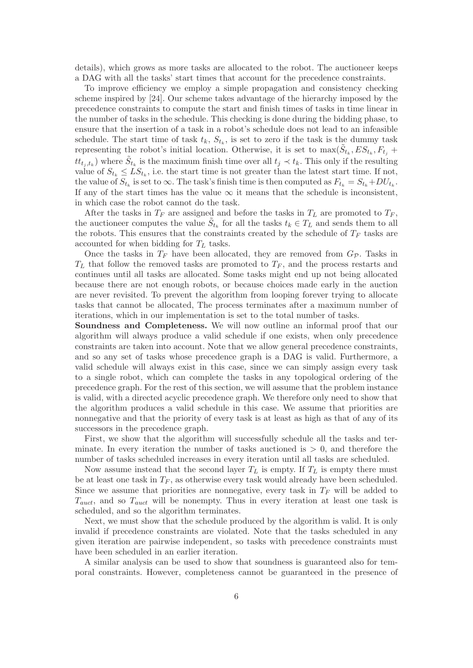details), which grows as more tasks are allocated to the robot. The auctioneer keeps a DAG with all the tasks' start times that account for the precedence constraints.

To improve efficiency we employ a simple propagation and consistency checking scheme inspired by [24]. Our scheme takes advantage of the hierarchy imposed by the precedence constraints to compute the start and finish times of tasks in time linear in the number of tasks in the schedule. This checking is done during the bidding phase, to ensure that the insertion of a task in a robot's schedule does not lead to an infeasible schedule. The start time of task  $t_k$ ,  $S_{t_k}$ , is set to zero if the task is the dummy task representing the robot's initial location. Otherwise, it is set to  $\max(S_{t_k}, ES_{t_k}, F_{t_j} +$  $tt_{t_i,t_k}$ ) where  $\tilde{S}_{t_k}$  is the maximum finish time over all  $t_i \prec t_k$ . This only if the resulting value of  $S_{t_k} \leq L S_{t_k}$ , i.e. the start time is not greater than the latest start time. If not, the value of  $S_{t_k}$  is set to  $\infty$ . The task's finish time is then computed as  $F_{t_k} = S_{t_k} + DU_{t_k}$ . If any of the start times has the value  $\infty$  it means that the schedule is inconsistent. in which case the robot cannot do the task.

After the tasks in  $T_F$  are assigned and before the tasks in  $T_L$  are promoted to  $T_F$ , the auctioneer computes the value  $S_{t_k}$  for all the tasks  $t_k \in T_L$  and sends them to all the robots. This ensures that the constraints created by the schedule of  $T_F$  tasks are accounted for when bidding for  $T_L$  tasks.

Once the tasks in  $T_F$  have been allocated, they are removed from  $G_{\mathcal{P}}$ . Tasks in  $T<sub>L</sub>$  that follow the removed tasks are promoted to  $T<sub>F</sub>$ , and the process restarts and continues until all tasks are allocated. Some tasks might end up not being allocated because there are not enough robots, or because choices made early in the auction are never revisited. To prevent the algorithm from looping forever trying to allocate tasks that cannot be allocated, The process terminates after a maximum number of iterations, which in our implementation is set to the total number of tasks.

**Soundness and Completeness.** We will now outline an informal proof that our algorithm will always produce a valid schedule if one exists, when only precedence constraints are taken into account. Note that we allow general precedence constraints, and so any set of tasks whose precedence graph is a DAG is valid. Furthermore, a valid schedule will always exist in this case, since we can simply assign every task to a single robot, which can complete the tasks in any topological ordering of the precedence graph. For the rest of this section, we will assume that the problem instance is valid, with a directed acyclic precedence graph. We therefore only need to show that the algorithm produces a valid schedule in this case. We assume that priorities are nonnegative and that the priority of every task is at least as high as that of any of its successors in the precedence graph.

First, we show that the algorithm will successfully schedule all the tasks and terminate. In every iteration the number of tasks auctioned is  $> 0$ , and therefore the number of tasks scheduled increases in every iteration until all tasks are scheduled.

Now assume instead that the second layer  $T_L$  is empty. If  $T_L$  is empty there must be at least one task in  $T_F$ , as otherwise every task would already have been scheduled. Since we assume that priorities are nonnegative, every task in  $T_F$  will be added to  $T_{auct}$ , and so  $T_{auct}$  will be nonempty. Thus in every iteration at least one task is scheduled, and so the algorithm terminates.

Next, we must show that the schedule produced by the algorithm is valid. It is only invalid if precedence constraints are violated. Note that the tasks scheduled in any given iteration are pairwise independent, so tasks with precedence constraints must have been scheduled in an earlier iteration.

A similar analysis can be used to show that soundness is guaranteed also for temporal constraints. However, completeness cannot be guaranteed in the presence of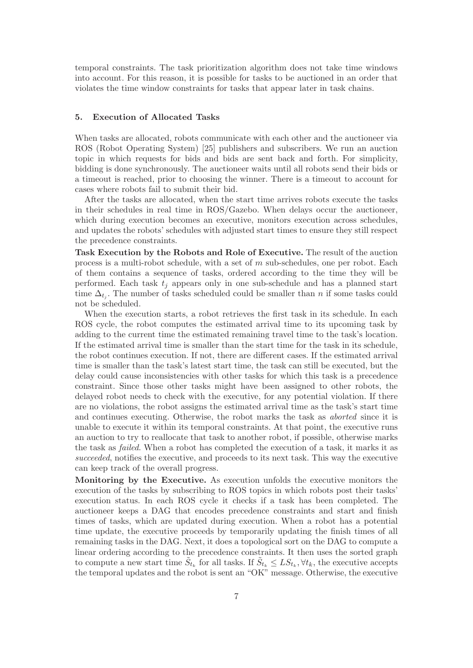temporal constraints. The task prioritization algorithm does not take time windows into account. For this reason, it is possible for tasks to be auctioned in an order that violates the time window constraints for tasks that appear later in task chains.

### **5. Execution of Allocated Tasks**

When tasks are allocated, robots communicate with each other and the auctioneer via ROS (Robot Operating System) [25] publishers and subscribers. We run an auction topic in which requests for bids and bids are sent back and forth. For simplicity, bidding is done synchronously. The auctioneer waits until all robots send their bids or a timeout is reached, prior to choosing the winner. There is a timeout to account for cases where robots fail to submit their bid.

After the tasks are allocated, when the start time arrives robots execute the tasks in their schedules in real time in ROS/Gazebo. When delays occur the auctioneer, which during execution becomes an executive, monitors execution across schedules, and updates the robots' schedules with adjusted start times to ensure they still respect the precedence constraints.

**Task Execution by the Robots and Role of Executive.** The result of the auction process is a multi-robot schedule, with a set of m sub-schedules, one per robot. Each of them contains a sequence of tasks, ordered according to the time they will be performed. Each task  $t_i$  appears only in one sub-schedule and has a planned start time  $\Delta_t$ . The number of tasks scheduled could be smaller than n if some tasks could not be scheduled.

When the execution starts, a robot retrieves the first task in its schedule. In each ROS cycle, the robot computes the estimated arrival time to its upcoming task by adding to the current time the estimated remaining travel time to the task's location. If the estimated arrival time is smaller than the start time for the task in its schedule, the robot continues execution. If not, there are different cases. If the estimated arrival time is smaller than the task's latest start time, the task can still be executed, but the delay could cause inconsistencies with other tasks for which this task is a precedence constraint. Since those other tasks might have been assigned to other robots, the delayed robot needs to check with the executive, for any potential violation. If there are no violations, the robot assigns the estimated arrival time as the task's start time and continues executing. Otherwise, the robot marks the task as aborted since it is unable to execute it within its temporal constraints. At that point, the executive runs an auction to try to reallocate that task to another robot, if possible, otherwise marks the task as failed. When a robot has completed the execution of a task, it marks it as succeeded, notifies the executive, and proceeds to its next task. This way the executive can keep track of the overall progress.

**Monitoring by the Executive.** As execution unfolds the executive monitors the execution of the tasks by subscribing to ROS topics in which robots post their tasks' execution status. In each ROS cycle it checks if a task has been completed. The auctioneer keeps a DAG that encodes precedence constraints and start and finish times of tasks, which are updated during execution. When a robot has a potential time update, the executive proceeds by temporarily updating the finish times of all remaining tasks in the DAG. Next, it does a topological sort on the DAG to compute a linear ordering according to the precedence constraints. It then uses the sorted graph to compute a new start time  $\tilde{S}_{t_k}$  for all tasks. If  $\tilde{S}_{t_k} \leq LS_{t_k}$ ,  $\forall t_k$ , the executive accepts the temporal updates and the robot is sent an "OK" message. Otherwise, the executive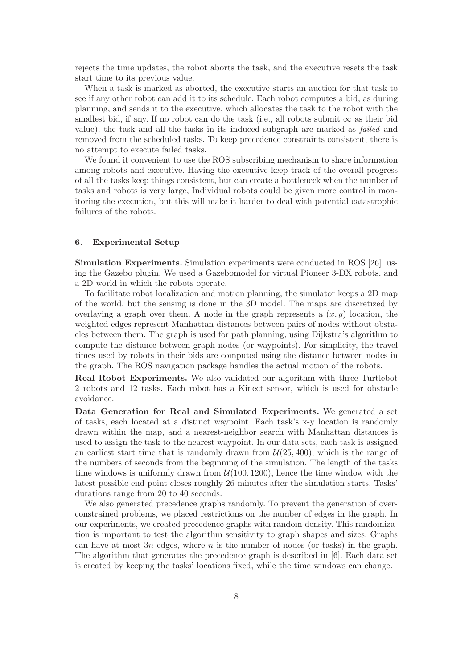rejects the time updates, the robot aborts the task, and the executive resets the task start time to its previous value.

When a task is marked as aborted, the executive starts an auction for that task to see if any other robot can add it to its schedule. Each robot computes a bid, as during planning, and sends it to the executive, which allocates the task to the robot with the smallest bid, if any. If no robot can do the task (i.e., all robots submit  $\infty$  as their bid value), the task and all the tasks in its induced subgraph are marked as failed and removed from the scheduled tasks. To keep precedence constraints consistent, there is no attempt to execute failed tasks.

We found it convenient to use the ROS subscribing mechanism to share information among robots and executive. Having the executive keep track of the overall progress of all the tasks keep things consistent, but can create a bottleneck when the number of tasks and robots is very large, Individual robots could be given more control in monitoring the execution, but this will make it harder to deal with potential catastrophic failures of the robots.

#### **6. Experimental Setup**

**Simulation Experiments.** Simulation experiments were conducted in ROS [26], using the Gazebo plugin. We used a Gazebomodel for virtual Pioneer 3-DX robots, and a 2D world in which the robots operate.

To facilitate robot localization and motion planning, the simulator keeps a 2D map of the world, but the sensing is done in the 3D model. The maps are discretized by overlaying a graph over them. A node in the graph represents a  $(x, y)$  location, the weighted edges represent Manhattan distances between pairs of nodes without obstacles between them. The graph is used for path planning, using Dijkstra's algorithm to compute the distance between graph nodes (or waypoints). For simplicity, the travel times used by robots in their bids are computed using the distance between nodes in the graph. The ROS navigation package handles the actual motion of the robots.

**Real Robot Experiments.** We also validated our algorithm with three Turtlebot 2 robots and 12 tasks. Each robot has a Kinect sensor, which is used for obstacle avoidance.

**Data Generation for Real and Simulated Experiments.** We generated a set of tasks, each located at a distinct waypoint. Each task's x-y location is randomly drawn within the map, and a nearest-neighbor search with Manhattan distances is used to assign the task to the nearest waypoint. In our data sets, each task is assigned an earliest start time that is randomly drawn from  $\mathcal{U}(25, 400)$ , which is the range of the numbers of seconds from the beginning of the simulation. The length of the tasks time windows is uniformly drawn from  $U(100, 1200)$ , hence the time window with the latest possible end point closes roughly 26 minutes after the simulation starts. Tasks' durations range from 20 to 40 seconds.

We also generated precedence graphs randomly. To prevent the generation of overconstrained problems, we placed restrictions on the number of edges in the graph. In our experiments, we created precedence graphs with random density. This randomization is important to test the algorithm sensitivity to graph shapes and sizes. Graphs can have at most 3n edges, where n is the number of nodes (or tasks) in the graph. The algorithm that generates the precedence graph is described in [6]. Each data set is created by keeping the tasks' locations fixed, while the time windows can change.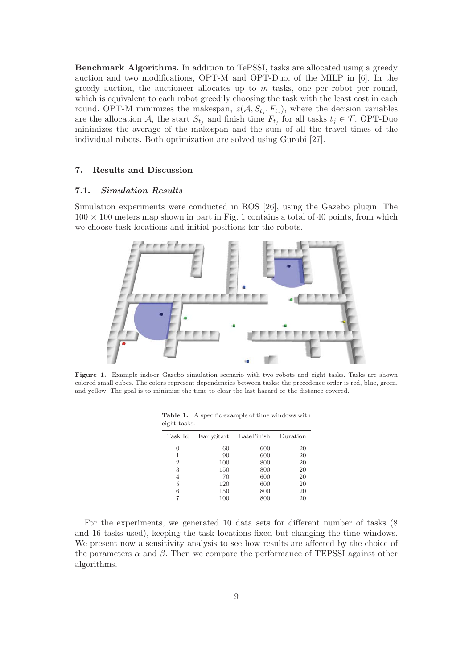**Benchmark Algorithms.** In addition to TePSSI, tasks are allocated using a greedy auction and two modifications, OPT-M and OPT-Duo, of the MILP in [6]. In the greedy auction, the auctioneer allocates up to  $m$  tasks, one per robot per round, which is equivalent to each robot greedily choosing the task with the least cost in each round. OPT-M minimizes the makespan,  $z(A, S_{t_j}, F_{t_j})$ , where the decision variables are the allocation A, the start  $S_{t_i}$  and finish time  $F_{t_i}$  for all tasks  $t_j \in \mathcal{T}$ . OPT-Duo minimizes the average of the makespan and the sum of all the travel times of the individual robots. Both optimization are solved using Gurobi [27].

# **7. Results and Discussion**

### **7.1.** *Simulation Results*

Simulation experiments were conducted in ROS [26], using the Gazebo plugin. The  $100 \times 100$  meters map shown in part in Fig. 1 contains a total of 40 points, from which we choose task locations and initial positions for the robots.



**Figure 1.** Example indoor Gazebo simulation scenario with two robots and eight tasks. Tasks are shown colored small cubes. The colors represent dependencies between tasks: the precedence order is red, blue, green, and yellow. The goal is to minimize the time to clear the last hazard or the distance covered.

| Task Id             | EarlyStart | LateFinish | Duration |
|---------------------|------------|------------|----------|
| 0                   | 60         | 600        | 20       |
| 1                   | 90         | 600        | 20       |
| $\overline{2}$<br>3 | 100<br>150 | 800<br>800 | 20<br>20 |
| 4                   | 70         | 600        | 20       |
| 5                   | 120        | 600        | 20       |
| 6                   | 150        | 800        | 20       |
|                     | 100        | 800        | 20       |
|                     |            |            |          |

**Table 1.** A specific example of time windows with eight tasks.

For the experiments, we generated 10 data sets for different number of tasks (8 and 16 tasks used), keeping the task locations fixed but changing the time windows. We present now a sensitivity analysis to see how results are affected by the choice of the parameters  $\alpha$  and  $\beta$ . Then we compare the performance of TEPSSI against other algorithms.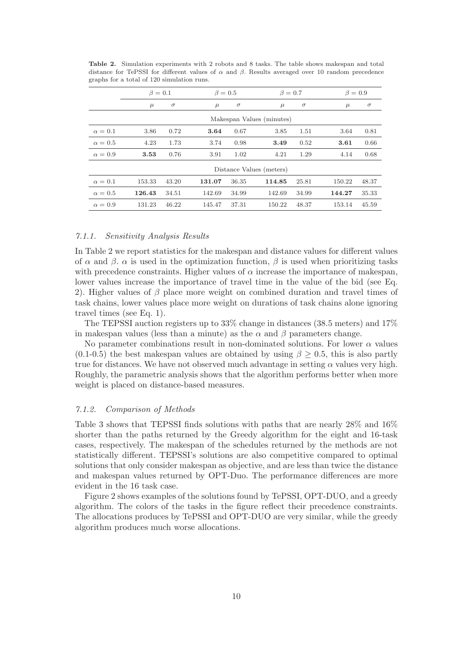|                          | $\beta = 0.1$             |          |        | $\beta = 0.5$ |        | $\beta = 0.7$ |        | $\beta = 0.9$ |  |  |
|--------------------------|---------------------------|----------|--------|---------------|--------|---------------|--------|---------------|--|--|
|                          | $\mu$                     | $\sigma$ | $\mu$  | $\sigma$      | $\mu$  | $\sigma$      | $\mu$  | $\sigma$      |  |  |
|                          | Makespan Values (minutes) |          |        |               |        |               |        |               |  |  |
| $\alpha = 0.1$           | 3.86                      | 0.72     | 3.64   | 0.67          | 3.85   | 1.51          | 3.64   | 0.81          |  |  |
| $\alpha = 0.5$           | 4.23                      | 1.73     | 3.74   | 0.98          | 3.49   | 0.52          | 3.61   | 0.66          |  |  |
| $\alpha = 0.9$           | 3.53                      | 0.76     | 3.91   | 1.02          | 4.21   | 1.29          | 4.14   | 0.68          |  |  |
| Distance Values (meters) |                           |          |        |               |        |               |        |               |  |  |
| $\alpha = 0.1$           | 153.33                    | 43.20    | 131.07 | 36.35         | 114.85 | 25.81         | 150.22 | 48.37         |  |  |
| $\alpha = 0.5$           | 126.43                    | 34.51    | 142.69 | 34.99         | 142.69 | 34.99         | 144.27 | 35.33         |  |  |
| $\alpha = 0.9$           | 131.23                    | 46.22    | 145.47 | 37.31         | 150.22 | 48.37         | 153.14 | 45.59         |  |  |

**Table 2.** Simulation experiments with 2 robots and 8 tasks. The table shows makespan and total distance for TePSSI for different values of  $\alpha$  and  $\beta$ . Results averaged over 10 random precedence graphs for a total of 120 simulation runs.

#### 7.1.1. Sensitivity Analysis Results

In Table 2 we report statistics for the makespan and distance values for different values of  $\alpha$  and  $\beta$ .  $\alpha$  is used in the optimization function,  $\beta$  is used when prioritizing tasks with precedence constraints. Higher values of  $\alpha$  increase the importance of makespan, lower values increase the importance of travel time in the value of the bid (see Eq. 2). Higher values of  $\beta$  place more weight on combined duration and travel times of task chains, lower values place more weight on durations of task chains alone ignoring travel times (see Eq. 1).

The TEPSSI auction registers up to 33% change in distances (38.5 meters) and 17% in makespan values (less than a minute) as the  $\alpha$  and  $\beta$  parameters change.

No parameter combinations result in non-dominated solutions. For lower  $\alpha$  values (0.1-0.5) the best makespan values are obtained by using  $\beta \geq 0.5$ , this is also partly true for distances. We have not observed much advantage in setting  $\alpha$  values very high. Roughly, the parametric analysis shows that the algorithm performs better when more weight is placed on distance-based measures.

#### 7.1.2. Comparison of Methods

Table 3 shows that TEPSSI finds solutions with paths that are nearly 28% and 16% shorter than the paths returned by the Greedy algorithm for the eight and 16-task cases, respectively. The makespan of the schedules returned by the methods are not statistically different. TEPSSI's solutions are also competitive compared to optimal solutions that only consider makespan as objective, and are less than twice the distance and makespan values returned by OPT-Duo. The performance differences are more evident in the 16 task case.

Figure 2 shows examples of the solutions found by TePSSI, OPT-DUO, and a greedy algorithm. The colors of the tasks in the figure reflect their precedence constraints. The allocations produces by TePSSI and OPT-DUO are very similar, while the greedy algorithm produces much worse allocations.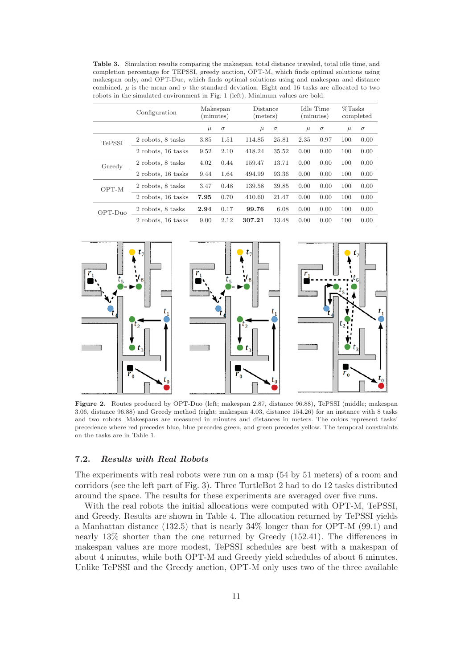**Table 3.** Simulation results comparing the makespan, total distance traveled, total idle time, and completion percentage for TEPSSI, greedy auction, OPT-M, which finds optimal solutions using makespan only, and OPT-Due, which finds optimal solutions using and makespan and distance combined.  $\mu$  is the mean and  $\sigma$  the standard deviation. Eight and 16 tasks are allocated to two robots in the simulated environment in Fig. 1 (left). Minimum values are bold.

|               | Configuration      | Makespan<br>(minutes) |          | Distance<br>(meters) |          | <b>Idle Time</b><br>(minutes) |          | $\%$ Tasks<br>completed |          |
|---------------|--------------------|-----------------------|----------|----------------------|----------|-------------------------------|----------|-------------------------|----------|
|               |                    | $\mu$                 | $\sigma$ | $\mu$                | $\sigma$ | $\mu$                         | $\sigma$ | $\mu$                   | $\sigma$ |
| <b>TePSSI</b> | 2 robots, 8 tasks  | 3.85                  | 1.51     | 114.85               | 25.81    | 2.35                          | 0.97     | 100                     | 0.00     |
|               | 2 robots, 16 tasks | 9.52                  | 2.10     | 418.24               | 35.52    | 0.00                          | 0.00     | 100                     | 0.00     |
| Greedy        | 2 robots, 8 tasks  | 4.02                  | 0.44     | 159.47               | 13.71    | 0.00                          | 0.00     | 100                     | 0.00     |
|               | 2 robots, 16 tasks | 9.44                  | 1.64     | 494.99               | 93.36    | 0.00                          | 0.00     | 100                     | 0.00     |
| $OPT-M$       | 2 robots, 8 tasks  | 3.47                  | 0.48     | 139.58               | 39.85    | 0.00                          | 0.00     | 100                     | 0.00     |
|               | 2 robots, 16 tasks | 7.95                  | 0.70     | 410.60               | 21.47    | 0.00                          | 0.00     | 100                     | 0.00     |
| $OPT-Duo$     | 2 robots, 8 tasks  | 2.94                  | 0.17     | 99.76                | 6.08     | 0.00                          | 0.00     | 100                     | 0.00     |
|               | 2 robots, 16 tasks | 9.00                  | 2.12     | 307.21               | 13.48    | 0.00                          | 0.00     | 100                     | 0.00     |



Figure 2. Routes produced by OPT-Duo (left; makespan 2.87, distance 96.88), TePSSI (middle; makespan 3.06, distance 96.88) and Greedy method (right; makespan 4.03, distance 154.26) for an instance with 8 tasks and two robots. Makespans are measured in minutes and distances in meters. The colors represent tasks' precedence where red precedes blue, blue precedes green, and green precedes yellow. The temporal constraints on the tasks are in Table 1.

### **7.2.** *Results with Real Robots*

The experiments with real robots were run on a map (54 by 51 meters) of a room and corridors (see the left part of Fig. 3). Three TurtleBot 2 had to do 12 tasks distributed around the space. The results for these experiments are averaged over five runs.

With the real robots the initial allocations were computed with OPT-M, TePSSI, and Greedy. Results are shown in Table 4. The allocation returned by TePSSI yields a Manhattan distance (132.5) that is nearly 34% longer than for OPT-M (99.1) and nearly 13% shorter than the one returned by Greedy (152.41). The differences in makespan values are more modest, TePSSI schedules are best with a makespan of about 4 minutes, while both OPT-M and Greedy yield schedules of about 6 minutes. Unlike TePSSI and the Greedy auction, OPT-M only uses two of the three available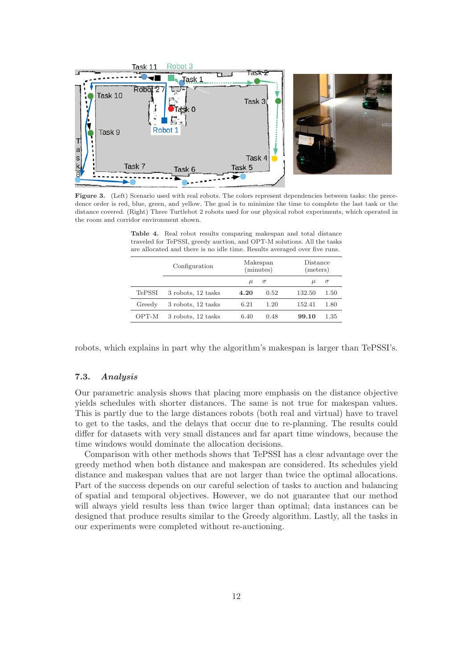

Figure 3. (Left) Scenario used with real robots. The colors represent dependencies between tasks: the precedence order is red, blue, green, and yellow. The goal is to minimize the time to complete the last task or the distance covered. (Right) Three Turtlebot 2 robots used for our physical robot experiments, which operated in the room and corridor environment shown.

|        | Configuration      | Makespan<br>(minutes) |          |        | Distance<br>(meters) |  |
|--------|--------------------|-----------------------|----------|--------|----------------------|--|
|        |                    | $\mu$                 | $\sigma$ | $\mu$  | $\sigma$             |  |
| TePSSI | 3 robots, 12 tasks | 4.20                  | 0.52     | 132.50 | 1.50                 |  |
| Greedy | 3 robots, 12 tasks | 6.21                  | 1.20     | 152.41 | 1.80                 |  |
| OPT-M  | 3 robots, 12 tasks | 6.40                  | 0.48     | 99.10  | 1.35                 |  |
|        |                    |                       |          |        |                      |  |

**Table 4.** Real robot results comparing makespan and total distance traveled for TePSSI, greedy auction, and OPT-M solutions. All the tasks are allocated and there is no idle time. Results averaged over five runs.

robots, which explains in part why the algorithm's makespan is larger than TePSSI's.

# **7.3.** *Analysis*

Our parametric analysis shows that placing more emphasis on the distance objective yields schedules with shorter distances. The same is not true for makespan values. This is partly due to the large distances robots (both real and virtual) have to travel to get to the tasks, and the delays that occur due to re-planning. The results could differ for datasets with very small distances and far apart time windows, because the time windows would dominate the allocation decisions.

Comparison with other methods shows that TePSSI has a clear advantage over the greedy method when both distance and makespan are considered. Its schedules yield distance and makespan values that are not larger than twice the optimal allocations. Part of the success depends on our careful selection of tasks to auction and balancing of spatial and temporal objectives. However, we do not guarantee that our method will always yield results less than twice larger than optimal; data instances can be designed that produce results similar to the Greedy algorithm. Lastly, all the tasks in our experiments were completed without re-auctioning.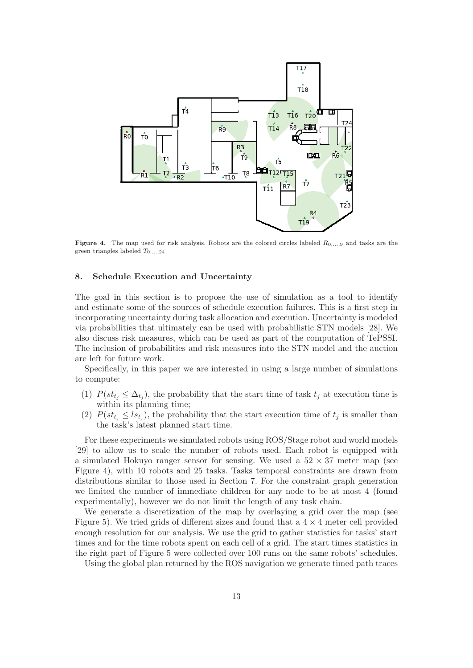

**Figure 4.** The map used for risk analysis. Robots are the colored circles labeled  $R_{0,...,9}$  and tasks are the green triangles labeled  $T_{0,\ldots,24}$ 

# **8. Schedule Execution and Uncertainty**

The goal in this section is to propose the use of simulation as a tool to identify and estimate some of the sources of schedule execution failures. This is a first step in incorporating uncertainty during task allocation and execution. Uncertainty is modeled via probabilities that ultimately can be used with probabilistic STN models [28]. We also discuss risk measures, which can be used as part of the computation of TePSSI. The inclusion of probabilities and risk measures into the STN model and the auction are left for future work.

Specifically, in this paper we are interested in using a large number of simulations to compute:

- (1)  $P(st_{t_j} \leq \Delta_{t_j})$ , the probability that the start time of task  $t_j$  at execution time is within its planning time;
- (2)  $P(st_{t_i} \leq ls_{t_i})$ , the probability that the start execution time of  $t_i$  is smaller than the task's latest planned start time.

For these experiments we simulated robots using ROS/Stage robot and world models [29] to allow us to scale the number of robots used. Each robot is equipped with a simulated Hokuyo ranger sensor for sensing. We used a  $52 \times 37$  meter map (see Figure 4), with 10 robots and 25 tasks. Tasks temporal constraints are drawn from distributions similar to those used in Section 7. For the constraint graph generation we limited the number of immediate children for any node to be at most 4 (found experimentally), however we do not limit the length of any task chain.

We generate a discretization of the map by overlaying a grid over the map (see Figure 5). We tried grids of different sizes and found that a  $4 \times 4$  meter cell provided enough resolution for our analysis. We use the grid to gather statistics for tasks' start times and for the time robots spent on each cell of a grid. The start times statistics in the right part of Figure 5 were collected over 100 runs on the same robots' schedules.

Using the global plan returned by the ROS navigation we generate timed path traces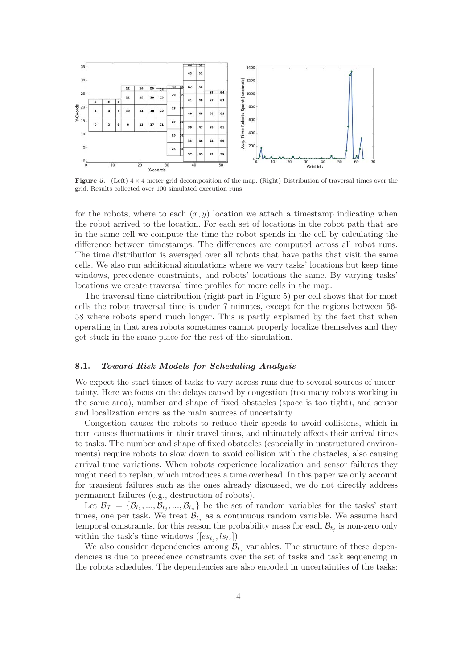

**Figure 5.** (Left) 4 <sup>×</sup> 4 meter grid decomposition of the map. (Right) Distribution of traversal times over the grid. Results collected over 100 simulated execution runs.

for the robots, where to each  $(x, y)$  location we attach a timestamp indicating when the robot arrived to the location. For each set of locations in the robot path that are in the same cell we compute the time the robot spends in the cell by calculating the difference between timestamps. The differences are computed across all robot runs. The time distribution is averaged over all robots that have paths that visit the same cells. We also run additional simulations where we vary tasks' locations but keep time windows, precedence constraints, and robots' locations the same. By varying tasks' locations we create traversal time profiles for more cells in the map.

The traversal time distribution (right part in Figure 5) per cell shows that for most cells the robot traversal time is under 7 minutes, except for the regions between 56- 58 where robots spend much longer. This is partly explained by the fact that when operating in that area robots sometimes cannot properly localize themselves and they get stuck in the same place for the rest of the simulation.

## **8.1.** *Toward Risk Models for Scheduling Analysis*

We expect the start times of tasks to vary across runs due to several sources of uncertainty. Here we focus on the delays caused by congestion (too many robots working in the same area), number and shape of fixed obstacles (space is too tight), and sensor and localization errors as the main sources of uncertainty.

Congestion causes the robots to reduce their speeds to avoid collisions, which in turn causes fluctuations in their travel times, and ultimately affects their arrival times to tasks. The number and shape of fixed obstacles (especially in unstructured environments) require robots to slow down to avoid collision with the obstacles, also causing arrival time variations. When robots experience localization and sensor failures they might need to replan, which introduces a time overhead. In this paper we only account for transient failures such as the ones already discussed, we do not directly address permanent failures (e.g., destruction of robots).

Let  $\mathcal{B}_{\mathcal{T}} = {\mathcal{B}_{t_1}, ..., \mathcal{B}_{t_j}, ..., \mathcal{B}_{t_n}}$  be the set of random variables for the tasks' start times, one per task. We treat  $\mathcal{B}_{t_j}$  as a continuous random variable. We assume hard temporal constraints, for this reason the probability mass for each  $B_{t_i}$  is non-zero only within the task's time windows  $([es_{t_i},ls_{t_i}]).$ 

We also consider dependencies among  $\mathcal{B}_{t_i}$  variables. The structure of these dependencies is due to precedence constraints over the set of tasks and task sequencing in the robots schedules. The dependencies are also encoded in uncertainties of the tasks: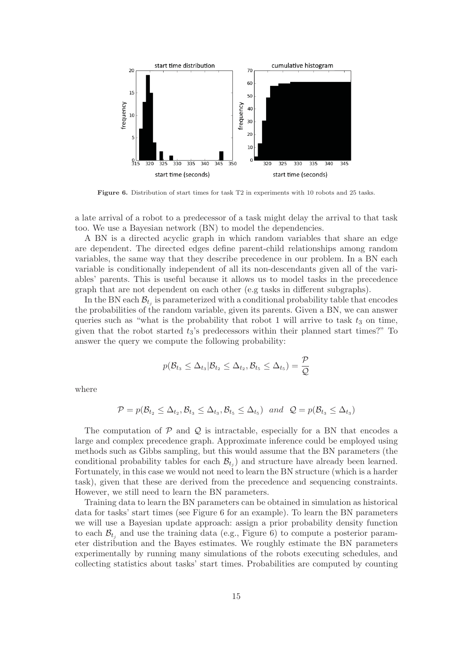

**Figure 6.** Distribution of start times for task T2 in experiments with 10 robots and 25 tasks.

a late arrival of a robot to a predecessor of a task might delay the arrival to that task too. We use a Bayesian network (BN) to model the dependencies.

A BN is a directed acyclic graph in which random variables that share an edge are dependent. The directed edges define parent-child relationships among random variables, the same way that they describe precedence in our problem. In a BN each variable is conditionally independent of all its non-descendants given all of the variables' parents. This is useful because it allows us to model tasks in the precedence graph that are not dependent on each other (e.g tasks in different subgraphs).

In the BN each  $\mathcal{B}_{t_i}$  is parameterized with a conditional probability table that encodes the probabilities of the random variable, given its parents. Given a BN, we can answer queries such as "what is the probability that robot 1 will arrive to task  $t_3$  on time, given that the robot started  $t_3$ 's predecessors within their planned start times?" To answer the query we compute the following probability:

$$
p(\mathcal{B}_{t_3} \leq \Delta_{t_3} | \mathcal{B}_{t_2} \leq \Delta_{t_2}, \mathcal{B}_{t_5} \leq \Delta_{t_5}) = \frac{\mathcal{P}}{\mathcal{Q}}
$$

where

$$
\mathcal{P} = p(\mathcal{B}_{t_2} \leq \Delta_{t_2}, \mathcal{B}_{t_3} \leq \Delta_{t_3}, \mathcal{B}_{t_5} \leq \Delta_{t_5}) \quad and \quad \mathcal{Q} = p(\mathcal{B}_{t_3} \leq \Delta_{t_3})
$$

The computation of  $P$  and  $Q$  is intractable, especially for a BN that encodes a large and complex precedence graph. Approximate inference could be employed using methods such as Gibbs sampling, but this would assume that the BN parameters (the conditional probability tables for each  $\mathcal{B}_{t_i}$  and structure have already been learned. Fortunately, in this case we would not need to learn the BN structure (which is a harder task), given that these are derived from the precedence and sequencing constraints. However, we still need to learn the BN parameters.

Training data to learn the BN parameters can be obtained in simulation as historical data for tasks' start times (see Figure 6 for an example). To learn the BN parameters we will use a Bayesian update approach: assign a prior probability density function to each  $\mathcal{B}_{t_i}$  and use the training data (e.g., Figure 6) to compute a posterior parameter distribution and the Bayes estimates. We roughly estimate the BN parameters experimentally by running many simulations of the robots executing schedules, and collecting statistics about tasks' start times. Probabilities are computed by counting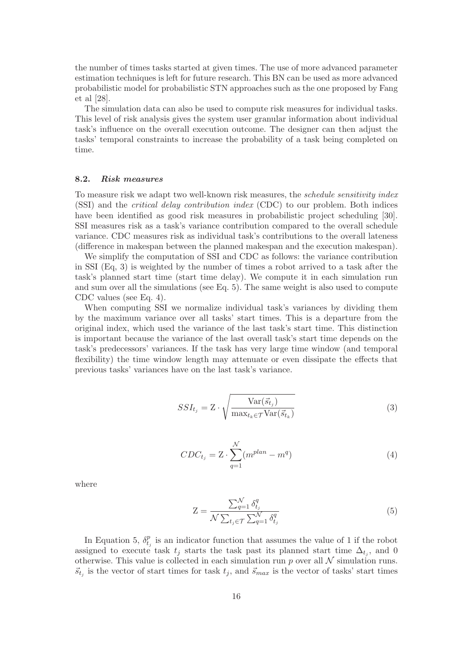the number of times tasks started at given times. The use of more advanced parameter estimation techniques is left for future research. This BN can be used as more advanced probabilistic model for probabilistic STN approaches such as the one proposed by Fang et al [28].

The simulation data can also be used to compute risk measures for individual tasks. This level of risk analysis gives the system user granular information about individual task's influence on the overall execution outcome. The designer can then adjust the tasks' temporal constraints to increase the probability of a task being completed on time.

### **8.2.** *Risk measures*

To measure risk we adapt two well-known risk measures, the schedule sensitivity index (SSI) and the critical delay contribution index (CDC) to our problem. Both indices have been identified as good risk measures in probabilistic project scheduling [30]. SSI measures risk as a task's variance contribution compared to the overall schedule variance. CDC measures risk as individual task's contributions to the overall lateness (difference in makespan between the planned makespan and the execution makespan).

We simplify the computation of SSI and CDC as follows: the variance contribution in SSI (Eq, 3) is weighted by the number of times a robot arrived to a task after the task's planned start time (start time delay). We compute it in each simulation run and sum over all the simulations (see Eq. 5). The same weight is also used to compute CDC values (see Eq. 4).

When computing SSI we normalize individual task's variances by dividing them by the maximum variance over all tasks' start times. This is a departure from the original index, which used the variance of the last task's start time. This distinction is important because the variance of the last overall task's start time depends on the task's predecessors' variances. If the task has very large time window (and temporal flexibility) the time window length may attenuate or even dissipate the effects that previous tasks' variances have on the last task's variance.

$$
SSI_{t_j} = \mathbf{Z} \cdot \sqrt{\frac{\text{Var}(\vec{s}_{t_j})}{\max_{t_k \in \mathcal{T}} \text{Var}(\vec{s}_{t_k})}}
$$
(3)

$$
CDC_{t_j} = \mathbf{Z} \cdot \sum_{q=1}^{N} (m^{plan} - m^q) \tag{4}
$$

where

$$
Z = \frac{\sum_{q=1}^{N} \delta_{t_j}^q}{\mathcal{N} \sum_{t_j \in \mathcal{T}} \sum_{q=1}^{N} \delta_{t_j}^q}
$$
(5)

In Equation 5,  $\delta_{t_j}^p$  is an indicator function that assumes the value of 1 if the robot assigned to execute task  $t_j$  starts the task past its planned start time  $\Delta_{t_i}$ , and 0 otherwise. This value is collected in each simulation run  $p$  over all  $\mathcal N$  simulation runs.  $\vec{s}_{t_j}$  is the vector of start times for task  $t_j$ , and  $\vec{s}_{max}$  is the vector of tasks' start times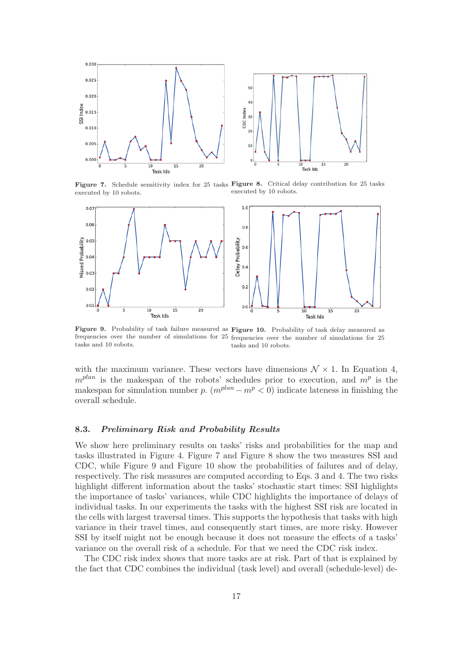

**Figure 7.** Schedule sensitivity index for 25 tasks **Figure 8.** Critical delay contribution for 25 tasks executed by 10 robots. executed by 10 robots. executed by 10 robots.



**Figure 9.** Probability of task failure measured as **Figure 10.** Probability of task delay measured as frequencies over the number of simulations for 25 frequencies over the number of simulations for 25 frequencies over the number of simulations for 25 frequencies over the number of simulations for 25 tasks and 10 robots. tasks and 10 robots.

with the maximum variance. These vectors have dimensions  $\mathcal{N} \times 1$ . In Equation 4,  $m^{plan}$  is the makespan of the robots' schedules prior to execution, and  $m^p$  is the makespan for simulation number p.  $(m^{plan} - m^p < 0)$  indicate lateness in finishing the overall schedule.

#### **8.3.** *Preliminary Risk and Probability Results*

We show here preliminary results on tasks' risks and probabilities for the map and tasks illustrated in Figure 4. Figure 7 and Figure 8 show the two measures SSI and CDC, while Figure 9 and Figure 10 show the probabilities of failures and of delay, respectively. The risk measures are computed according to Eqs. 3 and 4. The two risks highlight different information about the tasks' stochastic start times: SSI highlights the importance of tasks' variances, while CDC highlights the importance of delays of individual tasks. In our experiments the tasks with the highest SSI risk are located in the cells with largest traversal times. This supports the hypothesis that tasks with high variance in their travel times, and consequently start times, are more risky. However SSI by itself might not be enough because it does not measure the effects of a tasks' variance on the overall risk of a schedule. For that we need the CDC risk index.

The CDC risk index shows that more tasks are at risk. Part of that is explained by the fact that CDC combines the individual (task level) and overall (schedule-level) de-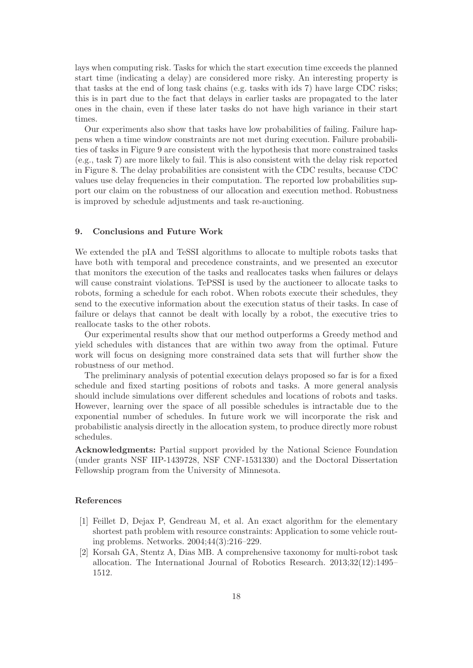lays when computing risk. Tasks for which the start execution time exceeds the planned start time (indicating a delay) are considered more risky. An interesting property is that tasks at the end of long task chains (e.g. tasks with ids 7) have large CDC risks; this is in part due to the fact that delays in earlier tasks are propagated to the later ones in the chain, even if these later tasks do not have high variance in their start times.

Our experiments also show that tasks have low probabilities of failing. Failure happens when a time window constraints are not met during execution. Failure probabilities of tasks in Figure 9 are consistent with the hypothesis that more constrained tasks (e.g., task 7) are more likely to fail. This is also consistent with the delay risk reported in Figure 8. The delay probabilities are consistent with the CDC results, because CDC values use delay frequencies in their computation. The reported low probabilities support our claim on the robustness of our allocation and execution method. Robustness is improved by schedule adjustments and task re-auctioning.

## **9. Conclusions and Future Work**

We extended the pIA and TeSSI algorithms to allocate to multiple robots tasks that have both with temporal and precedence constraints, and we presented an executor that monitors the execution of the tasks and reallocates tasks when failures or delays will cause constraint violations. TePSSI is used by the auctioneer to allocate tasks to robots, forming a schedule for each robot. When robots execute their schedules, they send to the executive information about the execution status of their tasks. In case of failure or delays that cannot be dealt with locally by a robot, the executive tries to reallocate tasks to the other robots.

Our experimental results show that our method outperforms a Greedy method and yield schedules with distances that are within two away from the optimal. Future work will focus on designing more constrained data sets that will further show the robustness of our method.

The preliminary analysis of potential execution delays proposed so far is for a fixed schedule and fixed starting positions of robots and tasks. A more general analysis should include simulations over different schedules and locations of robots and tasks. However, learning over the space of all possible schedules is intractable due to the exponential number of schedules. In future work we will incorporate the risk and probabilistic analysis directly in the allocation system, to produce directly more robust schedules.

**Acknowledgments:** Partial support provided by the National Science Foundation (under grants NSF IIP-1439728, NSF CNF-1531330) and the Doctoral Dissertation Fellowship program from the University of Minnesota.

# **References**

- [1] Feillet D, Dejax P, Gendreau M, et al. An exact algorithm for the elementary shortest path problem with resource constraints: Application to some vehicle routing problems. Networks. 2004;44(3):216–229.
- [2] Korsah GA, Stentz A, Dias MB. A comprehensive taxonomy for multi-robot task allocation. The International Journal of Robotics Research. 2013;32(12):1495– 1512.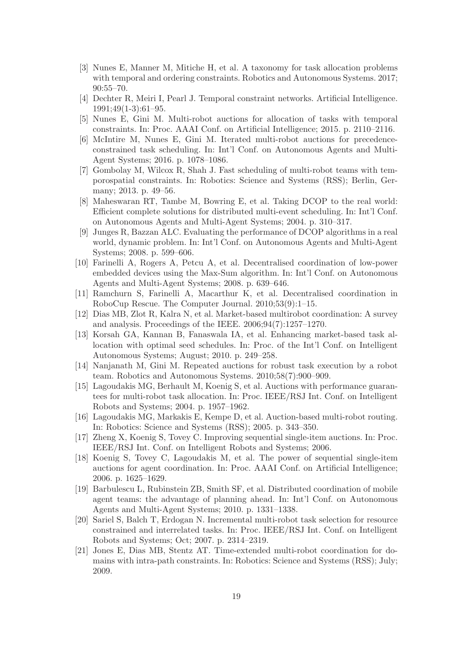- [3] Nunes E, Manner M, Mitiche H, et al. A taxonomy for task allocation problems with temporal and ordering constraints. Robotics and Autonomous Systems. 2017; 90:55–70.
- [4] Dechter R, Meiri I, Pearl J. Temporal constraint networks. Artificial Intelligence. 1991;49(1-3):61–95.
- [5] Nunes E, Gini M. Multi-robot auctions for allocation of tasks with temporal constraints. In: Proc. AAAI Conf. on Artificial Intelligence; 2015. p. 2110–2116.
- [6] McIntire M, Nunes E, Gini M. Iterated multi-robot auctions for precedenceconstrained task scheduling. In: Int'l Conf. on Autonomous Agents and Multi-Agent Systems; 2016. p. 1078–1086.
- [7] Gombolay M, Wilcox R, Shah J. Fast scheduling of multi-robot teams with temporospatial constraints. In: Robotics: Science and Systems (RSS); Berlin, Germany; 2013. p. 49–56.
- [8] Maheswaran RT, Tambe M, Bowring E, et al. Taking DCOP to the real world: Efficient complete solutions for distributed multi-event scheduling. In: Int'l Conf. on Autonomous Agents and Multi-Agent Systems; 2004. p. 310–317.
- [9] Junges R, Bazzan ALC. Evaluating the performance of DCOP algorithms in a real world, dynamic problem. In: Int'l Conf. on Autonomous Agents and Multi-Agent Systems; 2008. p. 599–606.
- [10] Farinelli A, Rogers A, Petcu A, et al. Decentralised coordination of low-power embedded devices using the Max-Sum algorithm. In: Int'l Conf. on Autonomous Agents and Multi-Agent Systems; 2008. p. 639–646.
- [11] Ramchurn S, Farinelli A, Macarthur K, et al. Decentralised coordination in RoboCup Rescue. The Computer Journal. 2010;53(9):1–15.
- [12] Dias MB, Zlot R, Kalra N, et al. Market-based multirobot coordination: A survey and analysis. Proceedings of the IEEE. 2006;94(7):1257–1270.
- [13] Korsah GA, Kannan B, Fanaswala IA, et al. Enhancing market-based task allocation with optimal seed schedules. In: Proc. of the Int'l Conf. on Intelligent Autonomous Systems; August; 2010. p. 249–258.
- [14] Nanjanath M, Gini M. Repeated auctions for robust task execution by a robot team. Robotics and Autonomous Systems. 2010;58(7):900–909.
- [15] Lagoudakis MG, Berhault M, Koenig S, et al. Auctions with performance guarantees for multi-robot task allocation. In: Proc. IEEE/RSJ Int. Conf. on Intelligent Robots and Systems; 2004. p. 1957–1962.
- [16] Lagoudakis MG, Markakis E, Kempe D, et al. Auction-based multi-robot routing. In: Robotics: Science and Systems (RSS); 2005. p. 343–350.
- [17] Zheng X, Koenig S, Tovey C. Improving sequential single-item auctions. In: Proc. IEEE/RSJ Int. Conf. on Intelligent Robots and Systems; 2006.
- [18] Koenig S, Tovey C, Lagoudakis M, et al. The power of sequential single-item auctions for agent coordination. In: Proc. AAAI Conf. on Artificial Intelligence; 2006. p. 1625–1629.
- [19] Barbulescu L, Rubinstein ZB, Smith SF, et al. Distributed coordination of mobile agent teams: the advantage of planning ahead. In: Int'l Conf. on Autonomous Agents and Multi-Agent Systems; 2010. p. 1331–1338.
- [20] Sariel S, Balch T, Erdogan N. Incremental multi-robot task selection for resource constrained and interrelated tasks. In: Proc. IEEE/RSJ Int. Conf. on Intelligent Robots and Systems; Oct; 2007. p. 2314–2319.
- [21] Jones E, Dias MB, Stentz AT. Time-extended multi-robot coordination for domains with intra-path constraints. In: Robotics: Science and Systems (RSS); July; 2009.